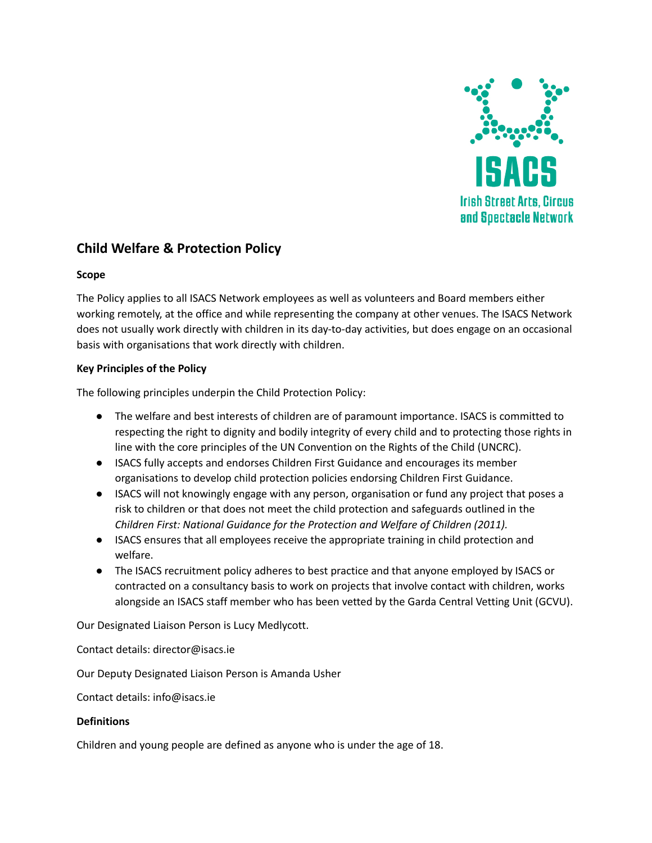

# **Child Welfare & Protection Policy**

### **Scope**

The Policy applies to all ISACS Network employees as well as volunteers and Board members either working remotely, at the office and while representing the company at other venues. The ISACS Network does not usually work directly with children in its day-to-day activities, but does engage on an occasional basis with organisations that work directly with children.

### **Key Principles of the Policy**

The following principles underpin the Child Protection Policy:

- **●** The welfare and best interests of children are of paramount importance. ISACS is committed to respecting the right to dignity and bodily integrity of every child and to protecting those rights in line with the core principles of the UN Convention on the Rights of the Child (UNCRC).
- **●** ISACS fully accepts and endorses Children First Guidance and encourages its member organisations to develop child protection policies endorsing Children First Guidance.
- **●** ISACS will not knowingly engage with any person, organisation or fund any project that poses a risk to children or that does not meet the child protection and safeguards outlined in the *Children First: National Guidance for the Protection and Welfare of Children (2011).*
- **●** ISACS ensures that all employees receive the appropriate training in child protection and welfare.
- **●** The ISACS recruitment policy adheres to best practice and that anyone employed by ISACS or contracted on a consultancy basis to work on projects that involve contact with children, works alongside an ISACS staff member who has been vetted by the Garda Central Vetting Unit (GCVU).

Our Designated Liaison Person is Lucy Medlycott.

Contact details: director@isacs.ie

Our Deputy Designated Liaison Person is Amanda Usher

Contact details: info@isacs.ie

#### **Definitions**

Children and young people are defined as anyone who is under the age of 18.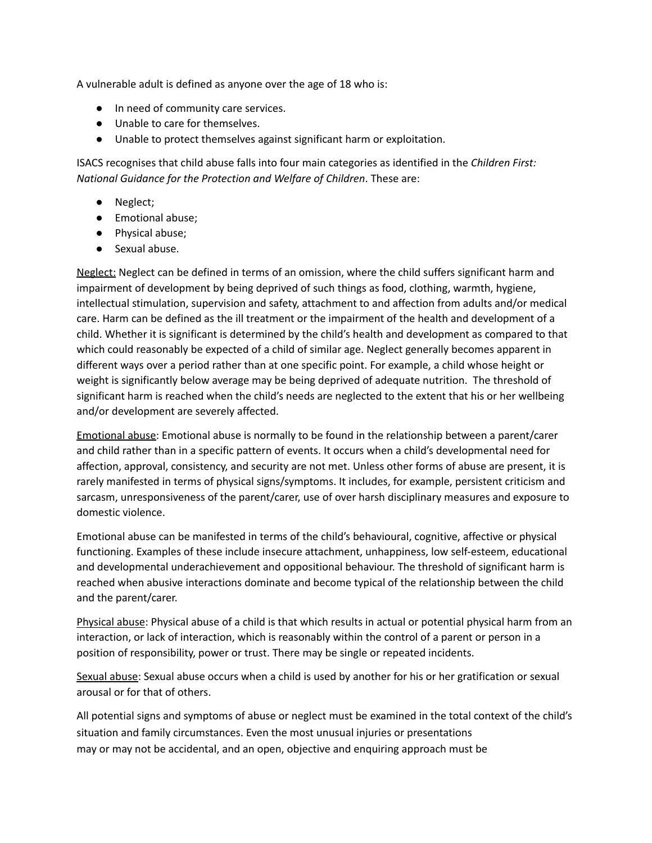A vulnerable adult is defined as anyone over the age of 18 who is:

- In need of community care services.
- Unable to care for themselves.
- Unable to protect themselves against significant harm or exploitation.

ISACS recognises that child abuse falls into four main categories as identified in the *Children First: National Guidance for the Protection and Welfare of Children*. These are:

- Neglect;
- Emotional abuse;
- Physical abuse;
- Sexual abuse.

Neglect: Neglect can be defined in terms of an omission, where the child suffers significant harm and impairment of development by being deprived of such things as food, clothing, warmth, hygiene, intellectual stimulation, supervision and safety, attachment to and affection from adults and/or medical care. Harm can be defined as the ill treatment or the impairment of the health and development of a child. Whether it is significant is determined by the child's health and development as compared to that which could reasonably be expected of a child of similar age. Neglect generally becomes apparent in different ways over a period rather than at one specific point. For example, a child whose height or weight is significantly below average may be being deprived of adequate nutrition. The threshold of significant harm is reached when the child's needs are neglected to the extent that his or her wellbeing and/or development are severely affected.

Emotional abuse: Emotional abuse is normally to be found in the relationship between a parent/carer and child rather than in a specific pattern of events. It occurs when a child's developmental need for affection, approval, consistency, and security are not met. Unless other forms of abuse are present, it is rarely manifested in terms of physical signs/symptoms. It includes, for example, persistent criticism and sarcasm, unresponsiveness of the parent/carer, use of over harsh disciplinary measures and exposure to domestic violence.

Emotional abuse can be manifested in terms of the child's behavioural, cognitive, affective or physical functioning. Examples of these include insecure attachment, unhappiness, low self-esteem, educational and developmental underachievement and oppositional behaviour. The threshold of significant harm is reached when abusive interactions dominate and become typical of the relationship between the child and the parent/carer.

Physical abuse: Physical abuse of a child is that which results in actual or potential physical harm from an interaction, or lack of interaction, which is reasonably within the control of a parent or person in a position of responsibility, power or trust. There may be single or repeated incidents.

Sexual abuse: Sexual abuse occurs when a child is used by another for his or her gratification or sexual arousal or for that of others.

All potential signs and symptoms of abuse or neglect must be examined in the total context of the child's situation and family circumstances. Even the most unusual injuries or presentations may or may not be accidental, and an open, objective and enquiring approach must be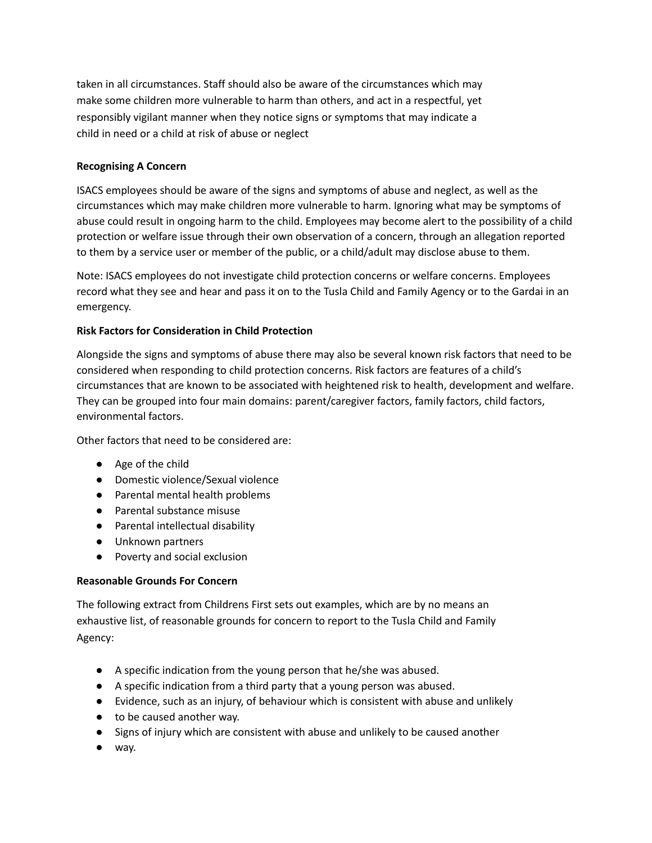taken in all circumstances. Staff should also be aware of the circumstances which may make some children more vulnerable to harm than others, and act in a respectful, yet responsibly vigilant manner when they notice signs or symptoms that may indicate a child in need or a child at risk of abuse or neglect

# **Recognising A Concern**

ISACS employees should be aware of the signs and symptoms of abuse and neglect, as well as the circumstances which may make children more vulnerable to harm. Ignoring what may be symptoms of abuse could result in ongoing harm to the child. Employees may become alert to the possibility of a child protection or welfare issue through their own observation of a concern, through an allegation reported to them by a service user or member of the public, or a child/adult may disclose abuse to them.

Note: ISACS employees do not investigate child protection concerns or welfare concerns. Employees record what they see and hear and pass it on to the Tusla Child and Family Agency or to the Gardai in an emergency.

# **Risk Factors for Consideration in Child Protection**

Alongside the signs and symptoms of abuse there may also be several known risk factors that need to be considered when responding to child protection concerns. Risk factors are features of a child's circumstances that are known to be associated with heightened risk to health, development and welfare. They can be grouped into four main domains: parent/caregiver factors, family factors, child factors, environmental factors.

Other factors that need to be considered are:

- Age of the child
- Domestic violence/Sexual violence
- Parental mental health problems
- Parental substance misuse
- Parental intellectual disability
- Unknown partners
- Poverty and social exclusion

### **Reasonable Grounds For Concern**

The following extract from Childrens First sets out examples, which are by no means an exhaustive list, of reasonable grounds for concern to report to the Tusla Child and Family Agency:

- A specific indication from the young person that he/she was abused.
- A specific indication from a third party that a young person was abused.
- Evidence, such as an injury, of behaviour which is consistent with abuse and unlikely
- to be caused another way.
- Signs of injury which are consistent with abuse and unlikely to be caused another
- way.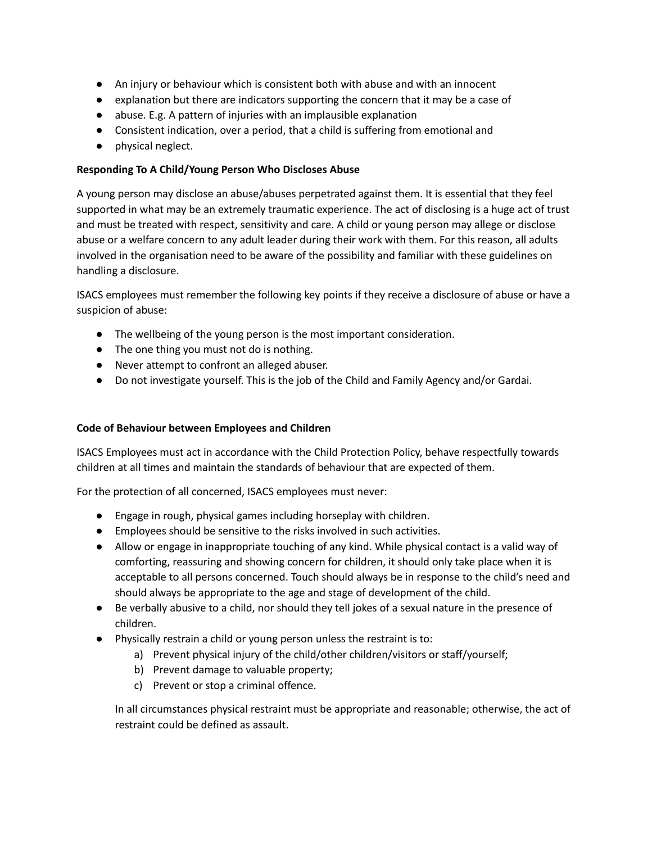- An injury or behaviour which is consistent both with abuse and with an innocent
- explanation but there are indicators supporting the concern that it may be a case of
- abuse. E.g. A pattern of injuries with an implausible explanation
- Consistent indication, over a period, that a child is suffering from emotional and
- physical neglect.

# **Responding To A Child/Young Person Who Discloses Abuse**

A young person may disclose an abuse/abuses perpetrated against them. It is essential that they feel supported in what may be an extremely traumatic experience. The act of disclosing is a huge act of trust and must be treated with respect, sensitivity and care. A child or young person may allege or disclose abuse or a welfare concern to any adult leader during their work with them. For this reason, all adults involved in the organisation need to be aware of the possibility and familiar with these guidelines on handling a disclosure.

ISACS employees must remember the following key points if they receive a disclosure of abuse or have a suspicion of abuse:

- The wellbeing of the young person is the most important consideration.
- The one thing you must not do is nothing.
- Never attempt to confront an alleged abuser.
- Do not investigate yourself. This is the job of the Child and Family Agency and/or Gardai.

# **Code of Behaviour between Employees and Children**

ISACS Employees must act in accordance with the Child Protection Policy, behave respectfully towards children at all times and maintain the standards of behaviour that are expected of them.

For the protection of all concerned, ISACS employees must never:

- **●** Engage in rough, physical games including horseplay with children.
- **●** Employees should be sensitive to the risks involved in such activities.
- **●** Allow or engage in inappropriate touching of any kind. While physical contact is a valid way of comforting, reassuring and showing concern for children, it should only take place when it is acceptable to all persons concerned. Touch should always be in response to the child's need and should always be appropriate to the age and stage of development of the child.
- **●** Be verbally abusive to a child, nor should they tell jokes of a sexual nature in the presence of children.
- **●** Physically restrain a child or young person unless the restraint is to:
	- a) Prevent physical injury of the child/other children/visitors or staff/yourself;
	- b) Prevent damage to valuable property;
	- c) Prevent or stop a criminal offence.

In all circumstances physical restraint must be appropriate and reasonable; otherwise, the act of restraint could be defined as assault.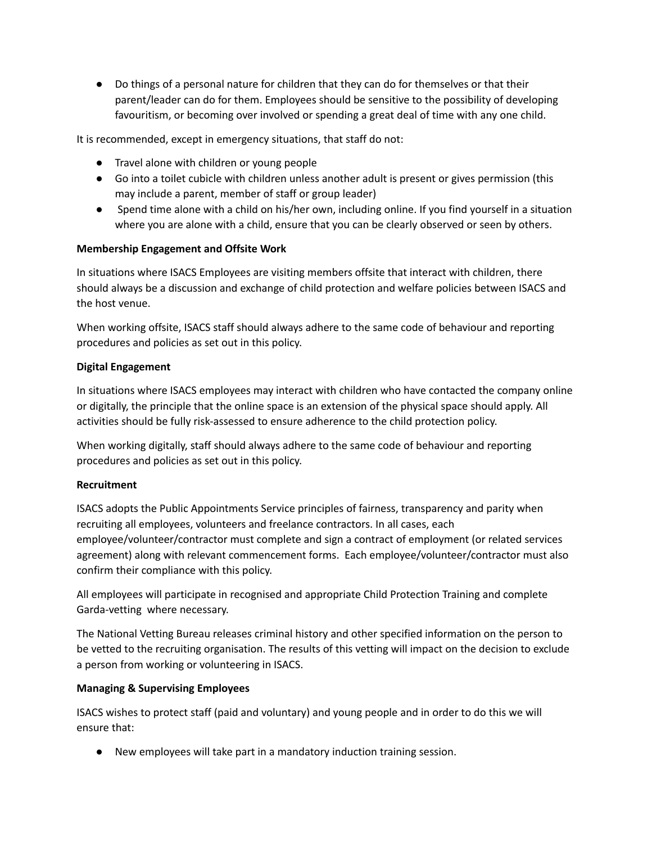● Do things of a personal nature for children that they can do for themselves or that their parent/leader can do for them. Employees should be sensitive to the possibility of developing favouritism, or becoming over involved or spending a great deal of time with any one child.

It is recommended, except in emergency situations, that staff do not:

- Travel alone with children or young people
- Go into a toilet cubicle with children unless another adult is present or gives permission (this may include a parent, member of staff or group leader)
- Spend time alone with a child on his/her own, including online. If you find yourself in a situation where you are alone with a child, ensure that you can be clearly observed or seen by others.

### **Membership Engagement and Offsite Work**

In situations where ISACS Employees are visiting members offsite that interact with children, there should always be a discussion and exchange of child protection and welfare policies between ISACS and the host venue.

When working offsite, ISACS staff should always adhere to the same code of behaviour and reporting procedures and policies as set out in this policy.

# **Digital Engagement**

In situations where ISACS employees may interact with children who have contacted the company online or digitally, the principle that the online space is an extension of the physical space should apply. All activities should be fully risk-assessed to ensure adherence to the child protection policy.

When working digitally, staff should always adhere to the same code of behaviour and reporting procedures and policies as set out in this policy.

### **Recruitment**

ISACS adopts the Public Appointments Service principles of fairness, transparency and parity when recruiting all employees, volunteers and freelance contractors. In all cases, each employee/volunteer/contractor must complete and sign a contract of employment (or related services agreement) along with relevant commencement forms. Each employee/volunteer/contractor must also confirm their compliance with this policy.

All employees will participate in recognised and appropriate Child Protection Training and complete Garda-vetting where necessary.

The National Vetting Bureau releases criminal history and other specified information on the person to be vetted to the recruiting organisation. The results of this vetting will impact on the decision to exclude a person from working or volunteering in ISACS.

# **Managing & Supervising Employees**

ISACS wishes to protect staff (paid and voluntary) and young people and in order to do this we will ensure that:

● New employees will take part in a mandatory induction training session.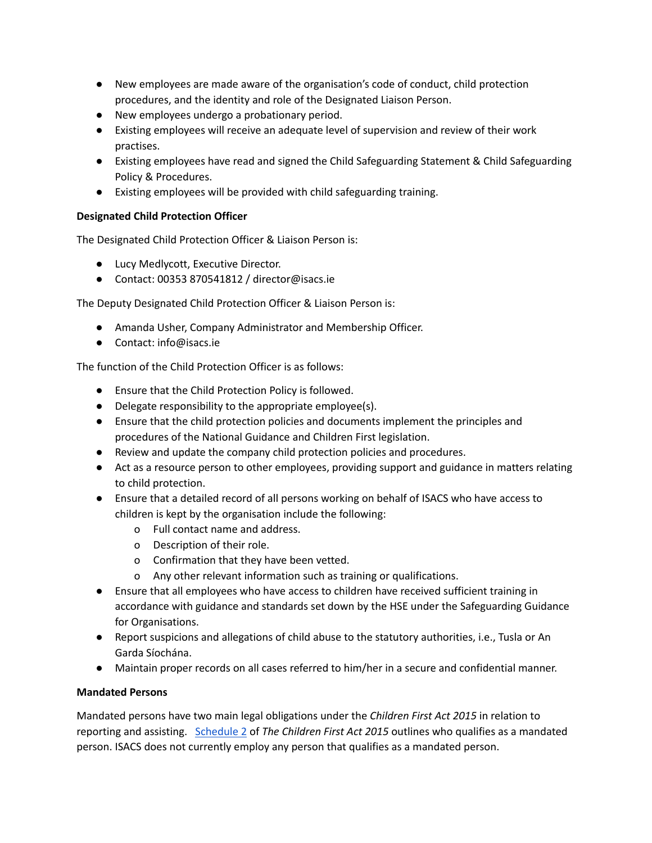- New employees are made aware of the organisation's code of conduct, child protection procedures, and the identity and role of the Designated Liaison Person.
- New employees undergo a probationary period.
- Existing employees will receive an adequate level of supervision and review of their work practises.
- Existing employees have read and signed the Child Safeguarding Statement & Child Safeguarding Policy & Procedures.
- Existing employees will be provided with child safeguarding training.

# **Designated Child Protection Officer**

The Designated Child Protection Officer & Liaison Person is:

- Lucy Medlycott, Executive Director.
- Contact: 00353 870541812 / director@isacs.ie

The Deputy Designated Child Protection Officer & Liaison Person is:

- Amanda Usher, Company Administrator and Membership Officer.
- Contact: info@isacs.ie

The function of the Child Protection Officer is as follows:

- Ensure that the Child Protection Policy is followed.
- Delegate responsibility to the appropriate employee(s).
- Ensure that the child protection policies and documents implement the principles and procedures of the National Guidance and Children First legislation.
- Review and update the company child protection policies and procedures.
- Act as a resource person to other employees, providing support and guidance in matters relating to child protection.
- Ensure that a detailed record of all persons working on behalf of ISACS who have access to children is kept by the organisation include the following:
	- o Full contact name and address.
	- o Description of their role.
	- o Confirmation that they have been vetted.
	- o Any other relevant information such as training or qualifications.
- Ensure that all employees who have access to children have received sufficient training in accordance with guidance and standards set down by the HSE under the Safeguarding Guidance for Organisations.
- Report suspicions and allegations of child abuse to the statutory authorities, i.e., Tusla or An Garda Síochána.
- Maintain proper records on all cases referred to him/her in a secure and confidential manner.

### **Mandated Persons**

Mandated persons have two main legal obligations under the *Children First Act 2015* in relation to reporting and assisting. [Schedule](https://www.irishstatutebook.ie/eli/2015/act/36/enacted/en/pdf) 2 of *The Children First Act 2015* outlines who qualifies as a mandated person. ISACS does not currently employ any person that qualifies as a mandated person.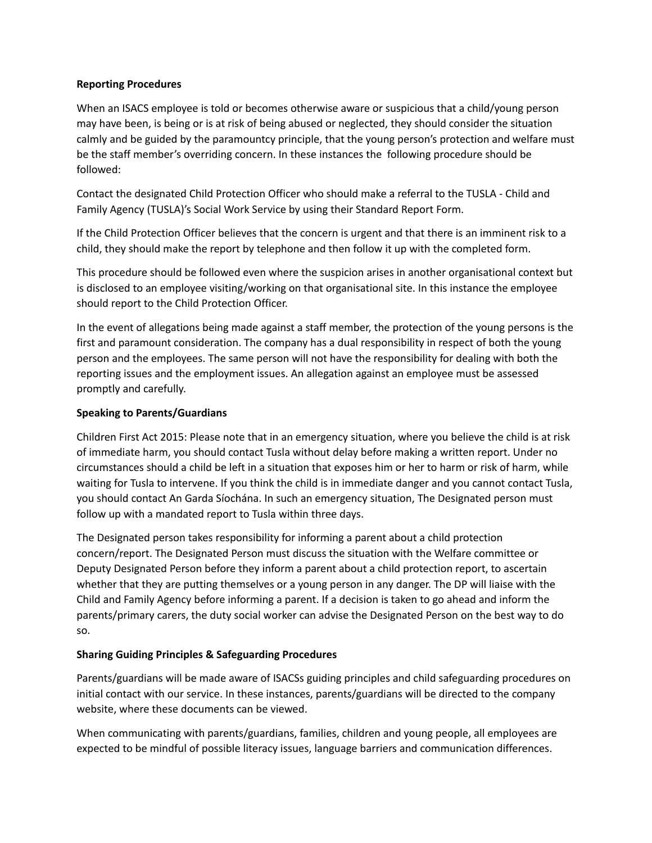### **Reporting Procedures**

When an ISACS employee is told or becomes otherwise aware or suspicious that a child/young person may have been, is being or is at risk of being abused or neglected, they should consider the situation calmly and be guided by the paramountcy principle, that the young person's protection and welfare must be the staff member's overriding concern. In these instances the following procedure should be followed:

Contact the designated Child Protection Officer who should make a referral to the TUSLA - Child and Family Agency (TUSLA)'s Social Work Service by using their Standard Report Form.

If the Child Protection Officer believes that the concern is urgent and that there is an imminent risk to a child, they should make the report by telephone and then follow it up with the completed form.

This procedure should be followed even where the suspicion arises in another organisational context but is disclosed to an employee visiting/working on that organisational site. In this instance the employee should report to the Child Protection Officer.

In the event of allegations being made against a staff member, the protection of the young persons is the first and paramount consideration. The company has a dual responsibility in respect of both the young person and the employees. The same person will not have the responsibility for dealing with both the reporting issues and the employment issues. An allegation against an employee must be assessed promptly and carefully.

# **Speaking to Parents/Guardians**

Children First Act 2015: Please note that in an emergency situation, where you believe the child is at risk of immediate harm, you should contact Tusla without delay before making a written report. Under no circumstances should a child be left in a situation that exposes him or her to harm or risk of harm, while waiting for Tusla to intervene. If you think the child is in immediate danger and you cannot contact Tusla, you should contact An Garda Síochána. In such an emergency situation, The Designated person must follow up with a mandated report to Tusla within three days.

The Designated person takes responsibility for informing a parent about a child protection concern/report. The Designated Person must discuss the situation with the Welfare committee or Deputy Designated Person before they inform a parent about a child protection report, to ascertain whether that they are putting themselves or a young person in any danger. The DP will liaise with the Child and Family Agency before informing a parent. If a decision is taken to go ahead and inform the parents/primary carers, the duty social worker can advise the Designated Person on the best way to do so.

# **Sharing Guiding Principles & Safeguarding Procedures**

Parents/guardians will be made aware of ISACSs guiding principles and child safeguarding procedures on initial contact with our service. In these instances, parents/guardians will be directed to the company website, where these documents can be viewed.

When communicating with parents/guardians, families, children and young people, all employees are expected to be mindful of possible literacy issues, language barriers and communication differences.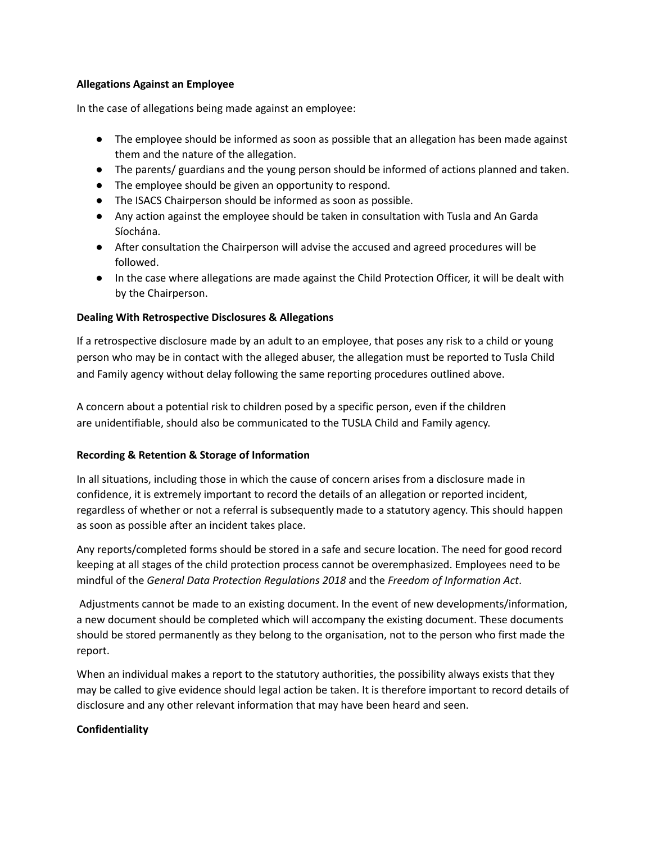### **Allegations Against an Employee**

In the case of allegations being made against an employee:

- The employee should be informed as soon as possible that an allegation has been made against them and the nature of the allegation.
- The parents/ guardians and the young person should be informed of actions planned and taken.
- The employee should be given an opportunity to respond.
- The ISACS Chairperson should be informed as soon as possible.
- Any action against the employee should be taken in consultation with Tusla and An Garda Síochána.
- After consultation the Chairperson will advise the accused and agreed procedures will be followed.
- In the case where allegations are made against the Child Protection Officer, it will be dealt with by the Chairperson.

# **Dealing With Retrospective Disclosures & Allegations**

If a retrospective disclosure made by an adult to an employee, that poses any risk to a child or young person who may be in contact with the alleged abuser, the allegation must be reported to Tusla Child and Family agency without delay following the same reporting procedures outlined above.

A concern about a potential risk to children posed by a specific person, even if the children are unidentifiable, should also be communicated to the TUSLA Child and Family agency.

# **Recording & Retention & Storage of Information**

In all situations, including those in which the cause of concern arises from a disclosure made in confidence, it is extremely important to record the details of an allegation or reported incident, regardless of whether or not a referral is subsequently made to a statutory agency. This should happen as soon as possible after an incident takes place.

Any reports/completed forms should be stored in a safe and secure location. The need for good record keeping at all stages of the child protection process cannot be overemphasized. Employees need to be mindful of the *General Data Protection Regulations 2018* and the *Freedom of Information Act*.

Adjustments cannot be made to an existing document. In the event of new developments/information, a new document should be completed which will accompany the existing document. These documents should be stored permanently as they belong to the organisation, not to the person who first made the report.

When an individual makes a report to the statutory authorities, the possibility always exists that they may be called to give evidence should legal action be taken. It is therefore important to record details of disclosure and any other relevant information that may have been heard and seen.

# **Confidentiality**